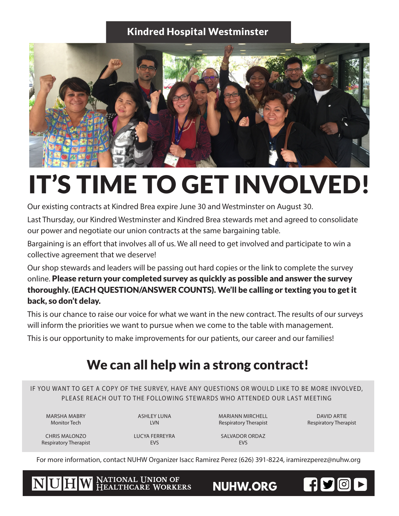## Kindred Hospital Westminster



## IT'S TIME TO GET INVOLVED!

Our existing contracts at Kindred Brea expire June 30 and Westminster on August 30.

Last Thursday, our Kindred Westminster and Kindred Brea stewards met and agreed to consolidate our power and negotiate our union contracts at the same bargaining table.

Bargaining is an effort that involves all of us. We all need to get involved and participate to win a collective agreement that we deserve!

Our shop stewards and leaders will be passing out hard copies or the link to complete the survey online. Please return your completed survey as quickly as possible and answer the survey thoroughly. (EACH QUESTION/ANSWER COUNTS). We'll be calling or texting you to get it back, so don't delay.

This is our chance to raise our voice for what we want in the new contract. The results of our surveys will inform the priorities we want to pursue when we come to the table with management.

This is our opportunity to make improvements for our patients, our career and our families!

## We can all help win a strong contract!

IF YOU WANT TO GET A COPY OF THE SURVEY, HAVE ANY OUESTIONS OR WOULD LIKE TO BE MORE INVOLVED. PLEASE REACH OUT TO THE FOLLOWING STEWARDS WHO ATTENDED OUR LAST MEETING

MARSHA MABRY Monitor Tech

ASHLEY LUNA LVN

MARIANN MIRCHELL Respiratory Therapist

DAVID ARTIE Respiratory Therapist

FISCP

CHRIS MALONZO Respiratory Therapist LUCYA FERREYRA EVS

SALVADOR ORDAZ **FVS** 

For more information, contact NUHW Organizer Isacc Ramirez Perez (626) 391-8224, iramirezperez@nuhw.org

NATIONAL UNION OF<br>HEALTHCARE WORKERS NUHW

**NUHW.ORG**